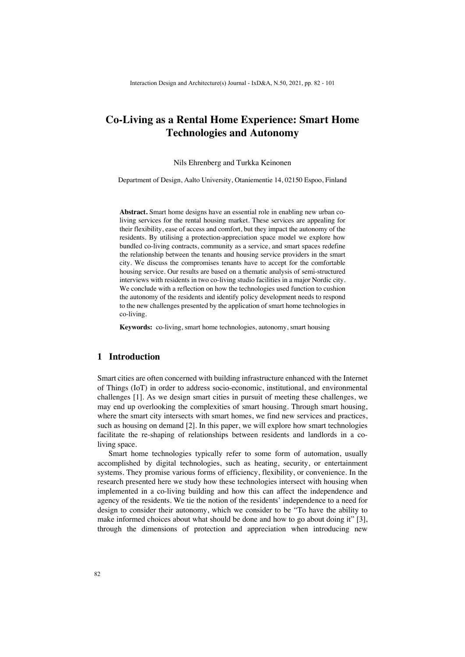# **Co-Living as a Rental Home Experience: Smart Home Technologies and Autonomy**

#### Nils Ehrenberg and Turkka Keinonen

Department of Design, Aalto University, Otaniementie 14, 02150 Espoo, Finland

**Abstract.** Smart home designs have an essential role in enabling new urban coliving services for the rental housing market. These services are appealing for their flexibility, ease of access and comfort, but they impact the autonomy of the residents. By utilising a protection-appreciation space model we explore how bundled co-living contracts, community as a service, and smart spaces redefine the relationship between the tenants and housing service providers in the smart city. We discuss the compromises tenants have to accept for the comfortable housing service. Our results are based on a thematic analysis of semi-structured interviews with residents in two co-living studio facilities in a major Nordic city. We conclude with a reflection on how the technologies used function to cushion the autonomy of the residents and identify policy development needs to respond to the new challenges presented by the application of smart home technologies in co-living.

**Keywords:** co-living, smart home technologies, autonomy, smart housing

### **1 Introduction**

Smart cities are often concerned with building infrastructure enhanced with the Internet of Things (IoT) in order to address socio-economic, institutional, and environmental challenges [1]. As we design smart cities in pursuit of meeting these challenges, we may end up overlooking the complexities of smart housing. Through smart housing, where the smart city intersects with smart homes, we find new services and practices, such as housing on demand [2]. In this paper, we will explore how smart technologies facilitate the re-shaping of relationships between residents and landlords in a coliving space.

Smart home technologies typically refer to some form of automation, usually accomplished by digital technologies, such as heating, security, or entertainment systems. They promise various forms of efficiency, flexibility, or convenience. In the research presented here we study how these technologies intersect with housing when implemented in a co-living building and how this can affect the independence and agency of the residents. We tie the notion of the residents' independence to a need for design to consider their autonomy, which we consider to be "To have the ability to make informed choices about what should be done and how to go about doing it" [3], through the dimensions of protection and appreciation when introducing new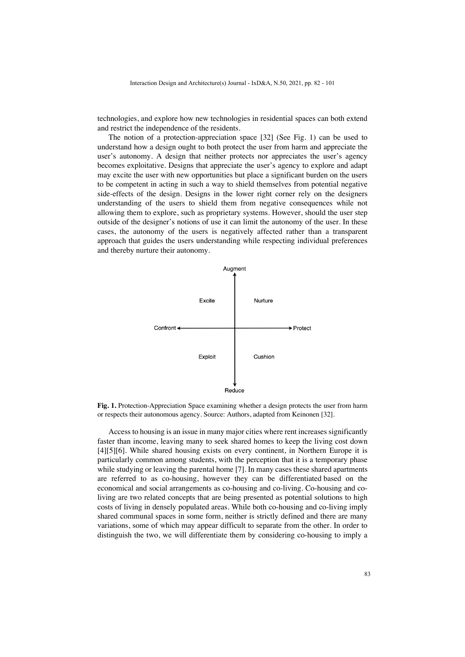technologies, and explore how new technologies in residential spaces can both extend and restrict the independence of the residents.

The notion of a protection-appreciation space [32] (See Fig. 1) can be used to understand how a design ought to both protect the user from harm and appreciate the user's autonomy. A design that neither protects nor appreciates the user's agency becomes exploitative. Designs that appreciate the user's agency to explore and adapt may excite the user with new opportunities but place a significant burden on the users to be competent in acting in such a way to shield themselves from potential negative side-effects of the design. Designs in the lower right corner rely on the designers understanding of the users to shield them from negative consequences while not allowing them to explore, such as proprietary systems. However, should the user step outside of the designer's notions of use it can limit the autonomy of the user. In these cases, the autonomy of the users is negatively affected rather than a transparent approach that guides the users understanding while respecting individual preferences and thereby nurture their autonomy.



**Fig. 1.** Protection-Appreciation Space examining whether a design protects the user from harm or respects their autonomous agency. Source: Authors, adapted from Keinonen [32].

Access to housing is an issue in many major cities where rent increases significantly faster than income, leaving many to seek shared homes to keep the living cost down [4][5][6]. While shared housing exists on every continent, in Northern Europe it is particularly common among students, with the perception that it is a temporary phase while studying or leaving the parental home [7]. In many cases these shared apartments are referred to as co-housing, however they can be differentiated based on the economical and social arrangements as co-housing and co-living. Co-housing and coliving are two related concepts that are being presented as potential solutions to high costs of living in densely populated areas. While both co-housing and co-living imply shared communal spaces in some form, neither is strictly defined and there are many variations, some of which may appear difficult to separate from the other. In order to distinguish the two, we will differentiate them by considering co-housing to imply a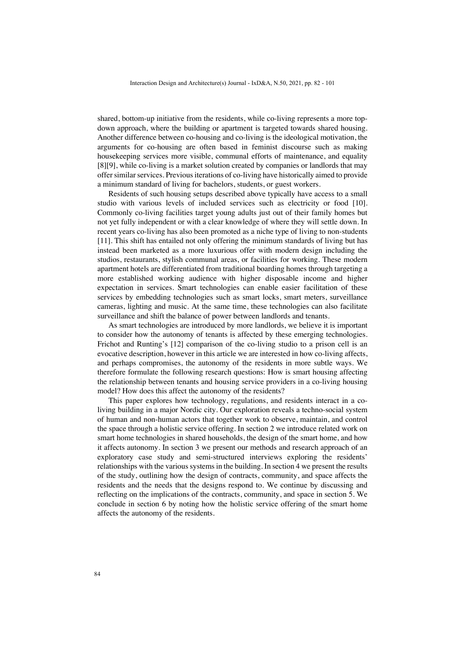shared, bottom-up initiative from the residents, while co-living represents a more topdown approach, where the building or apartment is targeted towards shared housing. Another difference between co-housing and co-living is the ideological motivation, the arguments for co-housing are often based in feminist discourse such as making housekeeping services more visible, communal efforts of maintenance, and equality [8][9], while co-living is a market solution created by companies or landlords that may offer similar services. Previous iterations of co-living have historically aimed to provide a minimum standard of living for bachelors, students, or guest workers.

Residents of such housing setups described above typically have access to a small studio with various levels of included services such as electricity or food [10]. Commonly co-living facilities target young adults just out of their family homes but not yet fully independent or with a clear knowledge of where they will settle down. In recent years co-living has also been promoted as a niche type of living to non-students [11]. This shift has entailed not only offering the minimum standards of living but has instead been marketed as a more luxurious offer with modern design including the studios, restaurants, stylish communal areas, or facilities for working. These modern apartment hotels are differentiated from traditional boarding homes through targeting a more established working audience with higher disposable income and higher expectation in services. Smart technologies can enable easier facilitation of these services by embedding technologies such as smart locks, smart meters, surveillance cameras, lighting and music. At the same time, these technologies can also facilitate surveillance and shift the balance of power between landlords and tenants.

As smart technologies are introduced by more landlords, we believe it is important to consider how the autonomy of tenants is affected by these emerging technologies. Frichot and Runting's [12] comparison of the co-living studio to a prison cell is an evocative description, however in this article we are interested in how co-living affects, and perhaps compromises, the autonomy of the residents in more subtle ways. We therefore formulate the following research questions: How is smart housing affecting the relationship between tenants and housing service providers in a co-living housing model? How does this affect the autonomy of the residents?

This paper explores how technology, regulations, and residents interact in a coliving building in a major Nordic city. Our exploration reveals a techno-social system of human and non-human actors that together work to observe, maintain, and control the space through a holistic service offering. In section 2 we introduce related work on smart home technologies in shared households, the design of the smart home, and how it affects autonomy. In section 3 we present our methods and research approach of an exploratory case study and semi-structured interviews exploring the residents' relationships with the various systems in the building. In section 4 we present the results of the study, outlining how the design of contracts, community, and space affects the residents and the needs that the designs respond to. We continue by discussing and reflecting on the implications of the contracts, community, and space in section 5. We conclude in section 6 by noting how the holistic service offering of the smart home affects the autonomy of the residents.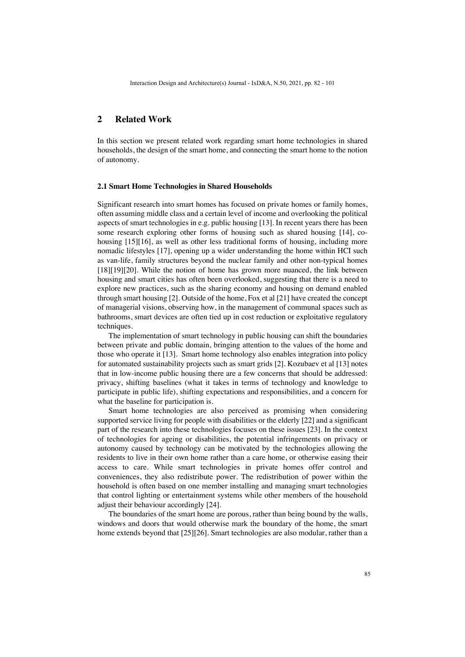### **2 Related Work**

In this section we present related work regarding smart home technologies in shared households, the design of the smart home, and connecting the smart home to the notion of autonomy.

#### **2.1 Smart Home Technologies in Shared Households**

Significant research into smart homes has focused on private homes or family homes, often assuming middle class and a certain level of income and overlooking the political aspects of smart technologies in e.g. public housing [13]. In recent years there has been some research exploring other forms of housing such as shared housing [14], cohousing [15][16], as well as other less traditional forms of housing, including more nomadic lifestyles [17], opening up a wider understanding the home within HCI such as van-life, family structures beyond the nuclear family and other non-typical homes [18][19][20]. While the notion of home has grown more nuanced, the link between housing and smart cities has often been overlooked, suggesting that there is a need to explore new practices, such as the sharing economy and housing on demand enabled through smart housing [2]. Outside of the home, Fox et al [21] have created the concept of managerial visions, observing how, in the management of communal spaces such as bathrooms, smart devices are often tied up in cost reduction or exploitative regulatory techniques.

The implementation of smart technology in public housing can shift the boundaries between private and public domain, bringing attention to the values of the home and those who operate it [13]. Smart home technology also enables integration into policy for automated sustainability projects such as smart grids [2]. Kozubaev et al [13] notes that in low-income public housing there are a few concerns that should be addressed: privacy, shifting baselines (what it takes in terms of technology and knowledge to participate in public life), shifting expectations and responsibilities, and a concern for what the baseline for participation is.

Smart home technologies are also perceived as promising when considering supported service living for people with disabilities or the elderly [22] and a significant part of the research into these technologies focuses on these issues [23]. In the context of technologies for ageing or disabilities, the potential infringements on privacy or autonomy caused by technology can be motivated by the technologies allowing the residents to live in their own home rather than a care home, or otherwise easing their access to care. While smart technologies in private homes offer control and conveniences, they also redistribute power. The redistribution of power within the household is often based on one member installing and managing smart technologies that control lighting or entertainment systems while other members of the household adjust their behaviour accordingly [24].

The boundaries of the smart home are porous, rather than being bound by the walls, windows and doors that would otherwise mark the boundary of the home, the smart home extends beyond that [25][26]. Smart technologies are also modular, rather than a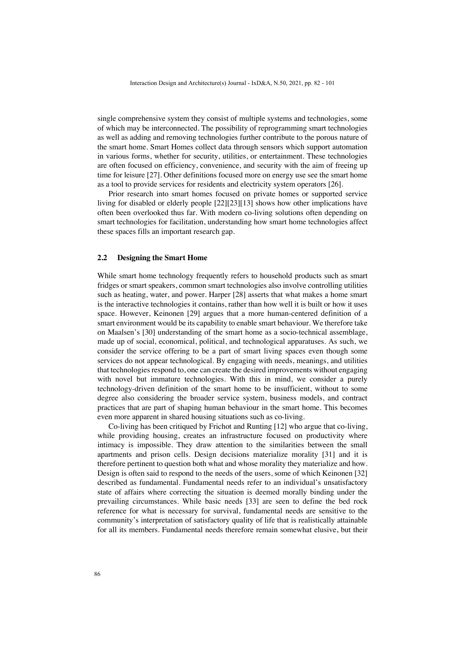single comprehensive system they consist of multiple systems and technologies, some of which may be interconnected. The possibility of reprogramming smart technologies as well as adding and removing technologies further contribute to the porous nature of the smart home. Smart Homes collect data through sensors which support automation in various forms, whether for security, utilities, or entertainment. These technologies are often focused on efficiency, convenience, and security with the aim of freeing up time for leisure [27]. Other definitions focused more on energy use see the smart home as a tool to provide services for residents and electricity system operators [26].

Prior research into smart homes focused on private homes or supported service living for disabled or elderly people [22][23][13] shows how other implications have often been overlooked thus far. With modern co-living solutions often depending on smart technologies for facilitation, understanding how smart home technologies affect these spaces fills an important research gap.

#### **2.2 Designing the Smart Home**

While smart home technology frequently refers to household products such as smart fridges or smart speakers, common smart technologies also involve controlling utilities such as heating, water, and power. Harper [28] asserts that what makes a home smart is the interactive technologies it contains, rather than how well it is built or how it uses space. However, Keinonen [29] argues that a more human-centered definition of a smart environment would be its capability to enable smart behaviour. We therefore take on Maalsen's [30] understanding of the smart home as a socio-technical assemblage, made up of social, economical, political, and technological apparatuses. As such, we consider the service offering to be a part of smart living spaces even though some services do not appear technological. By engaging with needs, meanings, and utilities that technologies respond to, one can create the desired improvements without engaging with novel but immature technologies. With this in mind, we consider a purely technology-driven definition of the smart home to be insufficient, without to some degree also considering the broader service system, business models, and contract practices that are part of shaping human behaviour in the smart home. This becomes even more apparent in shared housing situations such as co-living.

Co-living has been critiqued by Frichot and Runting [12] who argue that co-living, while providing housing, creates an infrastructure focused on productivity where intimacy is impossible. They draw attention to the similarities between the small apartments and prison cells. Design decisions materialize morality [31] and it is therefore pertinent to question both what and whose morality they materialize and how. Design is often said to respond to the needs of the users, some of which Keinonen [32] described as fundamental. Fundamental needs refer to an individual's unsatisfactory state of affairs where correcting the situation is deemed morally binding under the prevailing circumstances. While basic needs [33] are seen to define the bed rock reference for what is necessary for survival, fundamental needs are sensitive to the community's interpretation of satisfactory quality of life that is realistically attainable for all its members. Fundamental needs therefore remain somewhat elusive, but their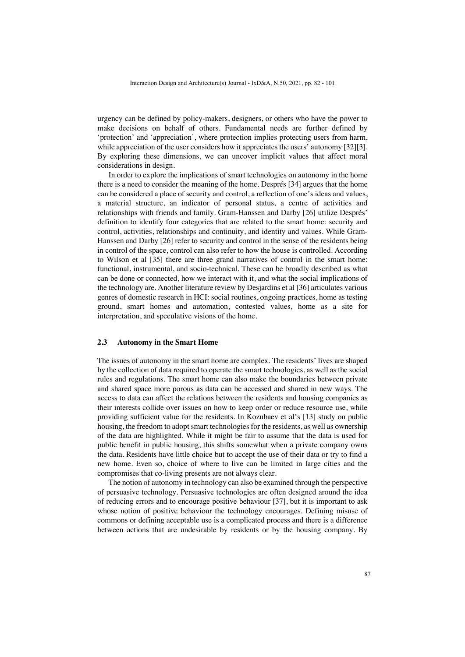urgency can be defined by policy-makers, designers, or others who have the power to make decisions on behalf of others. Fundamental needs are further defined by 'protection' and 'appreciation', where protection implies protecting users from harm, while appreciation of the user considers how it appreciates the users' autonomy [32][3]. By exploring these dimensions, we can uncover implicit values that affect moral considerations in design.

In order to explore the implications of smart technologies on autonomy in the home there is a need to consider the meaning of the home. Després [34] argues that the home can be considered a place of security and control, a reflection of one's ideas and values, a material structure, an indicator of personal status, a centre of activities and relationships with friends and family. Gram-Hanssen and Darby [26] utilize Després' definition to identify four categories that are related to the smart home: security and control, activities, relationships and continuity, and identity and values. While Gram-Hanssen and Darby [26] refer to security and control in the sense of the residents being in control of the space, control can also refer to how the house is controlled. According to Wilson et al [35] there are three grand narratives of control in the smart home: functional, instrumental, and socio-technical. These can be broadly described as what can be done or connected, how we interact with it, and what the social implications of the technology are. Another literature review by Desjardins et al [36] articulates various genres of domestic research in HCI: social routines, ongoing practices, home as testing ground, smart homes and automation, contested values, home as a site for interpretation, and speculative visions of the home.

#### **2.3 Autonomy in the Smart Home**

The issues of autonomy in the smart home are complex. The residents' lives are shaped by the collection of data required to operate the smart technologies, as well as the social rules and regulations. The smart home can also make the boundaries between private and shared space more porous as data can be accessed and shared in new ways. The access to data can affect the relations between the residents and housing companies as their interests collide over issues on how to keep order or reduce resource use, while providing sufficient value for the residents. In Kozubaev et al's [13] study on public housing, the freedom to adopt smart technologies for the residents, as well as ownership of the data are highlighted. While it might be fair to assume that the data is used for public benefit in public housing, this shifts somewhat when a private company owns the data. Residents have little choice but to accept the use of their data or try to find a new home. Even so, choice of where to live can be limited in large cities and the compromises that co-living presents are not always clear.

The notion of autonomy in technology can also be examined through the perspective of persuasive technology. Persuasive technologies are often designed around the idea of reducing errors and to encourage positive behaviour [37], but it is important to ask whose notion of positive behaviour the technology encourages. Defining misuse of commons or defining acceptable use is a complicated process and there is a difference between actions that are undesirable by residents or by the housing company. By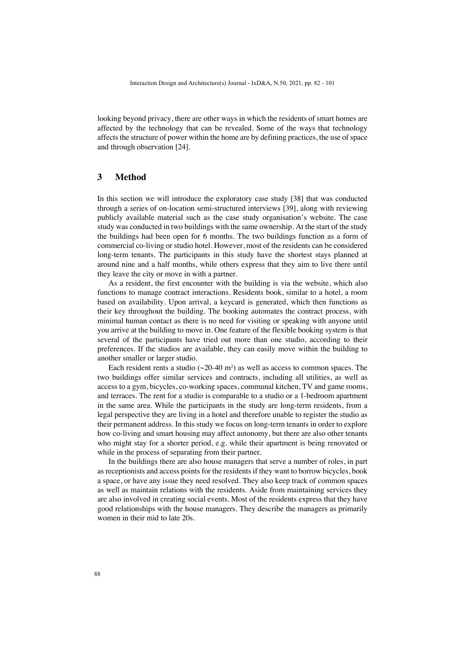looking beyond privacy, there are other ways in which the residents of smart homes are affected by the technology that can be revealed. Some of the ways that technology affects the structure of power within the home are by defining practices, the use of space and through observation [24].

### **3 Method**

In this section we will introduce the exploratory case study [38] that was conducted through a series of on-location semi-structured interviews [39], along with reviewing publicly available material such as the case study organisation's website. The case study was conducted in two buildings with the same ownership. At the start of the study the buildings had been open for 6 months. The two buildings function as a form of commercial co-living or studio hotel. However, most of the residents can be considered long-term tenants. The participants in this study have the shortest stays planned at around nine and a half months, while others express that they aim to live there until they leave the city or move in with a partner.

As a resident, the first encounter with the building is via the website, which also functions to manage contract interactions. Residents book, similar to a hotel, a room based on availability. Upon arrival, a keycard is generated, which then functions as their key throughout the building. The booking automates the contract process, with minimal human contact as there is no need for visiting or speaking with anyone until you arrive at the building to move in. One feature of the flexible booking system is that several of the participants have tried out more than one studio, according to their preferences. If the studios are available, they can easily move within the building to another smaller or larger studio.

Each resident rents a studio  $(\sim 20-40 \text{ m}^2)$  as well as access to common spaces. The two buildings offer similar services and contracts, including all utilities, as well as access to a gym, bicycles, co-working spaces, communal kitchen, TV and game rooms, and terraces. The rent for a studio is comparable to a studio or a 1-bedroom apartment in the same area. While the participants in the study are long-term residents, from a legal perspective they are living in a hotel and therefore unable to register the studio as their permanent address. In this study we focus on long-term tenants in order to explore how co-living and smart housing may affect autonomy, but there are also other tenants who might stay for a shorter period, e.g. while their apartment is being renovated or while in the process of separating from their partner.

In the buildings there are also house managers that serve a number of roles, in part as receptionists and access points for the residents if they want to borrow bicycles, book a space, or have any issue they need resolved. They also keep track of common spaces as well as maintain relations with the residents. Aside from maintaining services they are also involved in creating social events. Most of the residents express that they have good relationships with the house managers. They describe the managers as primarily women in their mid to late 20s.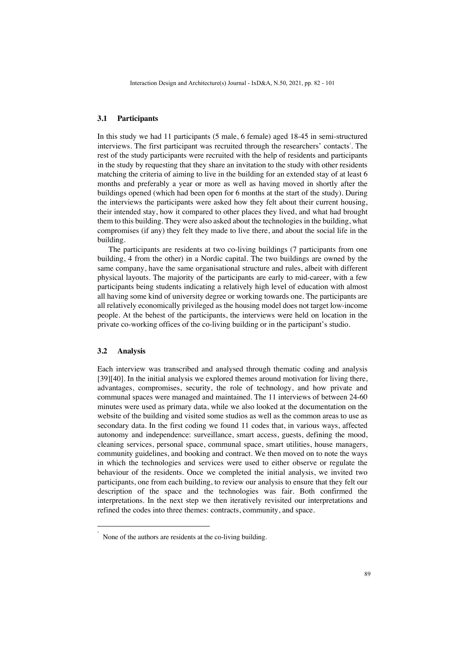#### **3.1 Participants**

In this study we had 11 participants (5 male, 6 female) aged 18-45 in semi-structured interviews. The first participant was recruited through the researchers' contacts'. The rest of the study participants were recruited with the help of residents and participants in the study by requesting that they share an invitation to the study with other residents matching the criteria of aiming to live in the building for an extended stay of at least 6 months and preferably a year or more as well as having moved in shortly after the buildings opened (which had been open for 6 months at the start of the study). During the interviews the participants were asked how they felt about their current housing, their intended stay, how it compared to other places they lived, and what had brought them to this building. They were also asked about the technologies in the building, what compromises (if any) they felt they made to live there, and about the social life in the building.

The participants are residents at two co-living buildings (7 participants from one building, 4 from the other) in a Nordic capital. The two buildings are owned by the same company, have the same organisational structure and rules, albeit with different physical layouts. The majority of the participants are early to mid-career, with a few participants being students indicating a relatively high level of education with almost all having some kind of university degree or working towards one. The participants are all relatively economically privileged as the housing model does not target low-income people. At the behest of the participants, the interviews were held on location in the private co-working offices of the co-living building or in the participant's studio.

#### **3.2 Analysis**

Each interview was transcribed and analysed through thematic coding and analysis [39][40]. In the initial analysis we explored themes around motivation for living there, advantages, compromises, security, the role of technology, and how private and communal spaces were managed and maintained. The 11 interviews of between 24-60 minutes were used as primary data, while we also looked at the documentation on the website of the building and visited some studios as well as the common areas to use as secondary data. In the first coding we found 11 codes that, in various ways, affected autonomy and independence: surveillance, smart access, guests, defining the mood, cleaning services, personal space, communal space, smart utilities, house managers, community guidelines, and booking and contract. We then moved on to note the ways in which the technologies and services were used to either observe or regulate the behaviour of the residents. Once we completed the initial analysis, we invited two participants, one from each building, to review our analysis to ensure that they felt our description of the space and the technologies was fair. Both confirmed the interpretations. In the next step we then iteratively revisited our interpretations and refined the codes into three themes: contracts, community, and space.

<sup>1</sup> None of the authors are residents at the co-living building.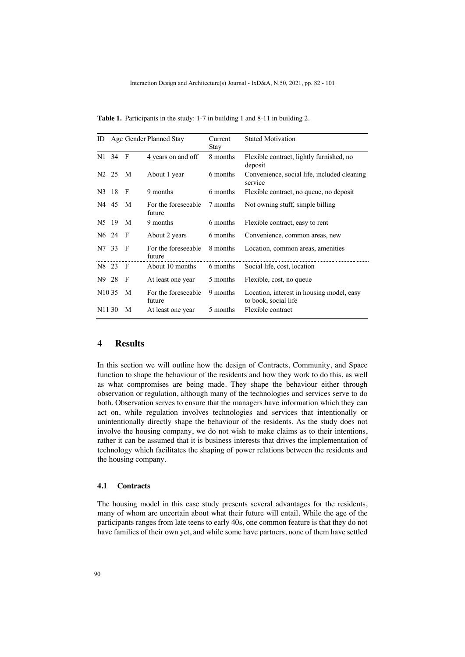| ID                 |                     |                | Age Gender Planned Stay       | Current<br>Stay | <b>Stated Motivation</b>                                          |
|--------------------|---------------------|----------------|-------------------------------|-----------------|-------------------------------------------------------------------|
|                    | N1 34 F             |                | 4 years on and off            | 8 months        | Flexible contract, lightly furnished, no<br>deposit               |
| N <sub>2</sub> 25  |                     | M              | About 1 year                  | 6 months        | Convenience, social life, included cleaning<br>service            |
| N3 18              |                     | $\overline{F}$ | 9 months                      | 6 months        | Flexible contract, no queue, no deposit                           |
| N4 45              |                     | M              | For the foreseeable<br>future | 7 months        | Not owning stuff, simple billing                                  |
| N <sub>5</sub> 19  |                     | $\mathbf{M}$   | 9 months                      | 6 months        | Flexible contract, easy to rent                                   |
|                    | N <sub>6</sub> 24 F |                | About 2 years                 | 6 months        | Convenience, common areas, new                                    |
| N7 33              |                     | - F            | For the foreseeable<br>future | 8 months        | Location, common areas, amenities                                 |
| N8 23              |                     | $\overline{F}$ | About 10 months               | 6 months        | Social life, cost, location                                       |
| N9 28              |                     | - F            | At least one year             | 5 months        | Flexible, cost, no queue                                          |
| N <sub>10</sub> 35 |                     | M              | For the foreseeable<br>future | 9 months        | Location, interest in housing model, easy<br>to book, social life |
| N <sub>11</sub> 30 |                     | M              | At least one year             | 5 months        | Flexible contract                                                 |

**Table 1.** Participants in the study: 1-7 in building 1 and 8-11 in building 2.

## **4 Results**

In this section we will outline how the design of Contracts, Community, and Space function to shape the behaviour of the residents and how they work to do this, as well as what compromises are being made. They shape the behaviour either through observation or regulation, although many of the technologies and services serve to do both. Observation serves to ensure that the managers have information which they can act on, while regulation involves technologies and services that intentionally or unintentionally directly shape the behaviour of the residents. As the study does not involve the housing company, we do not wish to make claims as to their intentions, rather it can be assumed that it is business interests that drives the implementation of technology which facilitates the shaping of power relations between the residents and the housing company.

### **4.1 Contracts**

The housing model in this case study presents several advantages for the residents, many of whom are uncertain about what their future will entail. While the age of the participants ranges from late teens to early 40s, one common feature is that they do not have families of their own yet, and while some have partners, none of them have settled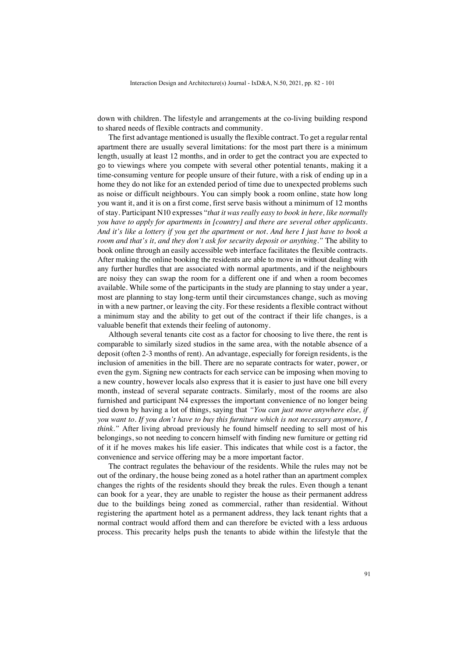down with children. The lifestyle and arrangements at the co-living building respond to shared needs of flexible contracts and community.

The first advantage mentioned is usually the flexible contract. To get a regular rental apartment there are usually several limitations: for the most part there is a minimum length, usually at least 12 months, and in order to get the contract you are expected to go to viewings where you compete with several other potential tenants, making it a time-consuming venture for people unsure of their future, with a risk of ending up in a home they do not like for an extended period of time due to unexpected problems such as noise or difficult neighbours. You can simply book a room online, state how long you want it, and it is on a first come, first serve basis without a minimum of 12 months of stay. Participant N10 expresses "*that it was really easy to book in here, like normally you have to apply for apartments in [country] and there are several other applicants. And it's like a lottery if you get the apartment or not. And here I just have to book a room and that's it, and they don't ask for security deposit or anything."* The ability to book online through an easily accessible web interface facilitates the flexible contracts. After making the online booking the residents are able to move in without dealing with any further hurdles that are associated with normal apartments, and if the neighbours are noisy they can swap the room for a different one if and when a room becomes available. While some of the participants in the study are planning to stay under a year, most are planning to stay long-term until their circumstances change, such as moving in with a new partner, or leaving the city. For these residents a flexible contract without a minimum stay and the ability to get out of the contract if their life changes, is a valuable benefit that extends their feeling of autonomy.

Although several tenants cite cost as a factor for choosing to live there, the rent is comparable to similarly sized studios in the same area, with the notable absence of a deposit (often 2-3 months of rent). An advantage, especially for foreign residents, is the inclusion of amenities in the bill. There are no separate contracts for water, power, or even the gym. Signing new contracts for each service can be imposing when moving to a new country, however locals also express that it is easier to just have one bill every month, instead of several separate contracts. Similarly, most of the rooms are also furnished and participant N4 expresses the important convenience of no longer being tied down by having a lot of things, saying that *"You can just move anywhere else, if you want to. If you don't have to buy this furniture which is not necessary anymore, I think.*" After living abroad previously he found himself needing to sell most of his belongings, so not needing to concern himself with finding new furniture or getting rid of it if he moves makes his life easier. This indicates that while cost is a factor, the convenience and service offering may be a more important factor.

The contract regulates the behaviour of the residents. While the rules may not be out of the ordinary, the house being zoned as a hotel rather than an apartment complex changes the rights of the residents should they break the rules. Even though a tenant can book for a year, they are unable to register the house as their permanent address due to the buildings being zoned as commercial, rather than residential. Without registering the apartment hotel as a permanent address, they lack tenant rights that a normal contract would afford them and can therefore be evicted with a less arduous process. This precarity helps push the tenants to abide within the lifestyle that the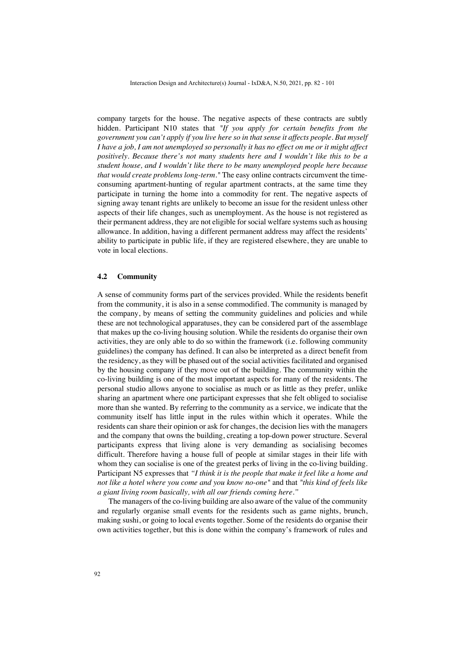company targets for the house. The negative aspects of these contracts are subtly hidden. Participant N10 states that *"If you apply for certain benefits from the government you can't apply if you live here so in that sense it affects people. But myself I have a job, I am not unemployed so personally it has no effect on me or it might affect positively. Because there's not many students here and I wouldn't like this to be a student house, and I wouldn't like there to be many unemployed people here because that would create problems long-term."* The easy online contracts circumvent the timeconsuming apartment-hunting of regular apartment contracts, at the same time they participate in turning the home into a commodity for rent. The negative aspects of signing away tenant rights are unlikely to become an issue for the resident unless other aspects of their life changes, such as unemployment. As the house is not registered as their permanent address, they are not eligible for social welfare systems such as housing allowance. In addition, having a different permanent address may affect the residents' ability to participate in public life, if they are registered elsewhere, they are unable to vote in local elections.

#### **4.2 Community**

A sense of community forms part of the services provided. While the residents benefit from the community, it is also in a sense commodified. The community is managed by the company, by means of setting the community guidelines and policies and while these are not technological apparatuses, they can be considered part of the assemblage that makes up the co-living housing solution. While the residents do organise their own activities, they are only able to do so within the framework (i.e. following community guidelines) the company has defined. It can also be interpreted as a direct benefit from the residency, as they will be phased out of the social activities facilitated and organised by the housing company if they move out of the building. The community within the co-living building is one of the most important aspects for many of the residents. The personal studio allows anyone to socialise as much or as little as they prefer, unlike sharing an apartment where one participant expresses that she felt obliged to socialise more than she wanted. By referring to the community as a service, we indicate that the community itself has little input in the rules within which it operates. While the residents can share their opinion or ask for changes, the decision lies with the managers and the company that owns the building, creating a top-down power structure. Several participants express that living alone is very demanding as socialising becomes difficult. Therefore having a house full of people at similar stages in their life with whom they can socialise is one of the greatest perks of living in the co-living building. Participant N5 expresses that *"I think it is the people that make it feel like a home and not like a hotel where you come and you know no-one"* and that *"this kind of feels like a giant living room basically, with all our friends coming here."*

The managers of the co-living building are also aware of the value of the community and regularly organise small events for the residents such as game nights, brunch, making sushi, or going to local events together. Some of the residents do organise their own activities together, but this is done within the company's framework of rules and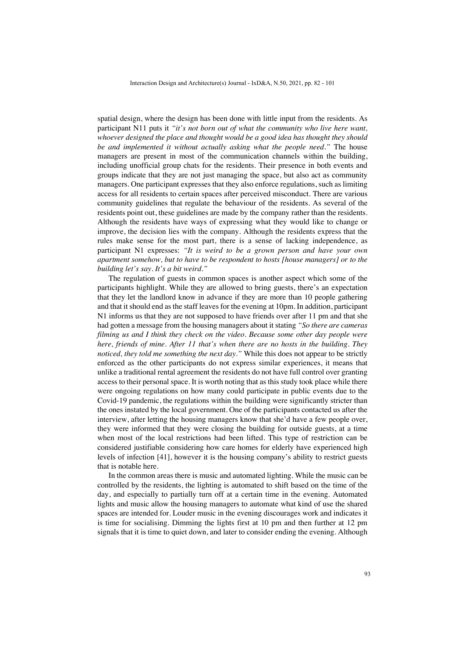spatial design, where the design has been done with little input from the residents. As participant N11 puts it *"it's not born out of what the community who live here want, whoever designed the place and thought would be a good idea has thought they should be and implemented it without actually asking what the people need."* The house managers are present in most of the communication channels within the building, including unofficial group chats for the residents. Their presence in both events and groups indicate that they are not just managing the space, but also act as community managers. One participant expresses that they also enforce regulations, such as limiting access for all residents to certain spaces after perceived misconduct. There are various community guidelines that regulate the behaviour of the residents. As several of the residents point out, these guidelines are made by the company rather than the residents. Although the residents have ways of expressing what they would like to change or improve, the decision lies with the company. Although the residents express that the rules make sense for the most part, there is a sense of lacking independence, as participant N1 expresses: *"It is weird to be a grown person and have your own apartment somehow, but to have to be respondent to hosts [house managers] or to the building let's say. It's a bit weird."*

The regulation of guests in common spaces is another aspect which some of the participants highlight. While they are allowed to bring guests, there's an expectation that they let the landlord know in advance if they are more than 10 people gathering and that it should end as the staff leaves for the evening at 10pm. In addition, participant N1 informs us that they are not supposed to have friends over after 11 pm and that she had gotten a message from the housing managers about it stating *"So there are cameras filming us and I think they check on the video. Because some other day people were here, friends of mine. After 11 that's when there are no hosts in the building. They noticed, they told me something the next day."* While this does not appear to be strictly enforced as the other participants do not express similar experiences, it means that unlike a traditional rental agreement the residents do not have full control over granting access to their personal space. It is worth noting that as this study took place while there were ongoing regulations on how many could participate in public events due to the Covid-19 pandemic, the regulations within the building were significantly stricter than the ones instated by the local government. One of the participants contacted us after the interview, after letting the housing managers know that she'd have a few people over, they were informed that they were closing the building for outside guests, at a time when most of the local restrictions had been lifted. This type of restriction can be considered justifiable considering how care homes for elderly have experienced high levels of infection [41], however it is the housing company's ability to restrict guests that is notable here.

In the common areas there is music and automated lighting. While the music can be controlled by the residents, the lighting is automated to shift based on the time of the day, and especially to partially turn off at a certain time in the evening. Automated lights and music allow the housing managers to automate what kind of use the shared spaces are intended for. Louder music in the evening discourages work and indicates it is time for socialising. Dimming the lights first at 10 pm and then further at 12 pm signals that it is time to quiet down, and later to consider ending the evening. Although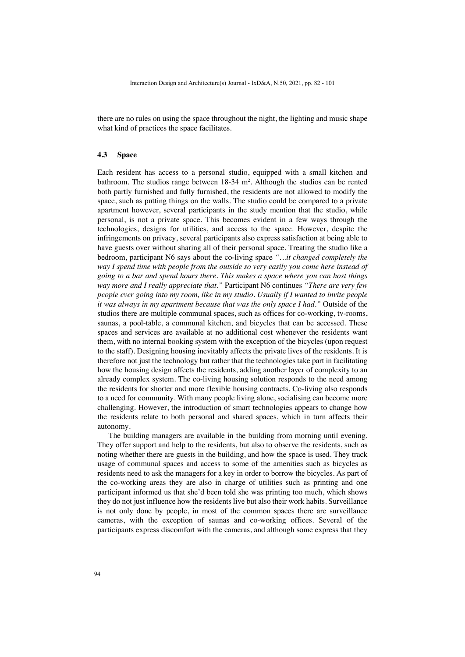there are no rules on using the space throughout the night, the lighting and music shape what kind of practices the space facilitates.

#### **4.3 Space**

Each resident has access to a personal studio, equipped with a small kitchen and bathroom. The studios range between 18-34 m<sup>2</sup>. Although the studios can be rented both partly furnished and fully furnished, the residents are not allowed to modify the space, such as putting things on the walls. The studio could be compared to a private apartment however, several participants in the study mention that the studio, while personal, is not a private space. This becomes evident in a few ways through the technologies, designs for utilities, and access to the space. However, despite the infringements on privacy, several participants also express satisfaction at being able to have guests over without sharing all of their personal space. Treating the studio like a bedroom, participant N6 says about the co-living space *"…it changed completely the way I spend time with people from the outside so very easily you come here instead of going to a bar and spend hours there. This makes a space where you can host things way more and I really appreciate that."* Participant N6 continues *"There are very few people ever going into my room, like in my studio. Usually if I wanted to invite people it was always in my apartment because that was the only space I had."* Outside of the studios there are multiple communal spaces, such as offices for co-working, tv-rooms, saunas, a pool-table, a communal kitchen, and bicycles that can be accessed. These spaces and services are available at no additional cost whenever the residents want them, with no internal booking system with the exception of the bicycles (upon request to the staff). Designing housing inevitably affects the private lives of the residents. It is therefore not just the technology but rather that the technologies take part in facilitating how the housing design affects the residents, adding another layer of complexity to an already complex system. The co-living housing solution responds to the need among the residents for shorter and more flexible housing contracts. Co-living also responds to a need for community. With many people living alone, socialising can become more challenging. However, the introduction of smart technologies appears to change how the residents relate to both personal and shared spaces, which in turn affects their autonomy.

The building managers are available in the building from morning until evening. They offer support and help to the residents, but also to observe the residents, such as noting whether there are guests in the building, and how the space is used. They track usage of communal spaces and access to some of the amenities such as bicycles as residents need to ask the managers for a key in order to borrow the bicycles. As part of the co-working areas they are also in charge of utilities such as printing and one participant informed us that she'd been told she was printing too much, which shows they do not just influence how the residents live but also their work habits. Surveillance is not only done by people, in most of the common spaces there are surveillance cameras, with the exception of saunas and co-working offices. Several of the participants express discomfort with the cameras, and although some express that they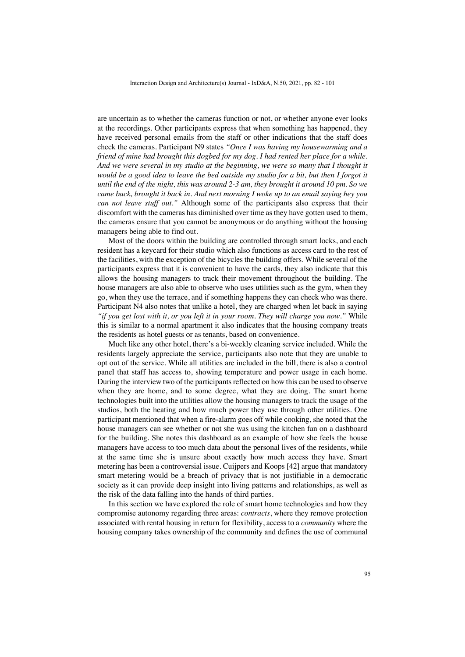are uncertain as to whether the cameras function or not, or whether anyone ever looks at the recordings. Other participants express that when something has happened, they have received personal emails from the staff or other indications that the staff does check the cameras. Participant N9 states *"Once I was having my housewarming and a friend of mine had brought this dogbed for my dog. I had rented her place for a while. And we were several in my studio at the beginning, we were so many that I thought it would be a good idea to leave the bed outside my studio for a bit, but then I forgot it until the end of the night, this was around 2-3 am, they brought it around 10 pm. So we came back, brought it back in. And next morning I woke up to an email saying hey you can not leave stuff out."* Although some of the participants also express that their discomfort with the cameras has diminished over time as they have gotten used to them, the cameras ensure that you cannot be anonymous or do anything without the housing managers being able to find out.

Most of the doors within the building are controlled through smart locks, and each resident has a keycard for their studio which also functions as access card to the rest of the facilities, with the exception of the bicycles the building offers. While several of the participants express that it is convenient to have the cards, they also indicate that this allows the housing managers to track their movement throughout the building. The house managers are also able to observe who uses utilities such as the gym, when they go, when they use the terrace, and if something happens they can check who was there. Participant N4 also notes that unlike a hotel, they are charged when let back in saying *"if you get lost with it, or you left it in your room. They will charge you now."* While this is similar to a normal apartment it also indicates that the housing company treats the residents as hotel guests or as tenants, based on convenience.

Much like any other hotel, there's a bi-weekly cleaning service included. While the residents largely appreciate the service, participants also note that they are unable to opt out of the service. While all utilities are included in the bill, there is also a control panel that staff has access to, showing temperature and power usage in each home. During the interview two of the participants reflected on how this can be used to observe when they are home, and to some degree, what they are doing. The smart home technologies built into the utilities allow the housing managers to track the usage of the studios, both the heating and how much power they use through other utilities. One participant mentioned that when a fire-alarm goes off while cooking, she noted that the house managers can see whether or not she was using the kitchen fan on a dashboard for the building. She notes this dashboard as an example of how she feels the house managers have access to too much data about the personal lives of the residents, while at the same time she is unsure about exactly how much access they have. Smart metering has been a controversial issue. Cuijpers and Koops [42] argue that mandatory smart metering would be a breach of privacy that is not justifiable in a democratic society as it can provide deep insight into living patterns and relationships, as well as the risk of the data falling into the hands of third parties.

In this section we have explored the role of smart home technologies and how they compromise autonomy regarding three areas: *contracts*, where they remove protection associated with rental housing in return for flexibility, access to a *community* where the housing company takes ownership of the community and defines the use of communal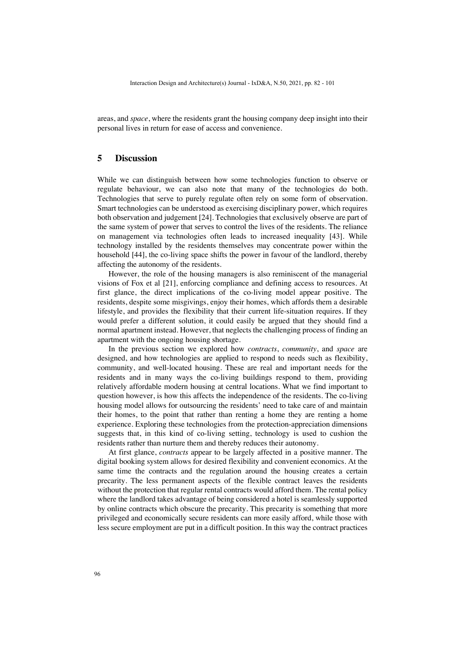areas, and *space*, where the residents grant the housing company deep insight into their personal lives in return for ease of access and convenience.

### **5 Discussion**

While we can distinguish between how some technologies function to observe or regulate behaviour, we can also note that many of the technologies do both. Technologies that serve to purely regulate often rely on some form of observation. Smart technologies can be understood as exercising disciplinary power, which requires both observation and judgement [24]. Technologies that exclusively observe are part of the same system of power that serves to control the lives of the residents. The reliance on management via technologies often leads to increased inequality [43]. While technology installed by the residents themselves may concentrate power within the household [44], the co-living space shifts the power in favour of the landlord, thereby affecting the autonomy of the residents.

However, the role of the housing managers is also reminiscent of the managerial visions of Fox et al [21], enforcing compliance and defining access to resources. At first glance, the direct implications of the co-living model appear positive. The residents, despite some misgivings, enjoy their homes, which affords them a desirable lifestyle, and provides the flexibility that their current life-situation requires. If they would prefer a different solution, it could easily be argued that they should find a normal apartment instead. However, that neglects the challenging process of finding an apartment with the ongoing housing shortage.

In the previous section we explored how *contracts*, *community*, and *space* are designed, and how technologies are applied to respond to needs such as flexibility, community, and well-located housing. These are real and important needs for the residents and in many ways the co-living buildings respond to them, providing relatively affordable modern housing at central locations. What we find important to question however, is how this affects the independence of the residents. The co-living housing model allows for outsourcing the residents' need to take care of and maintain their homes, to the point that rather than renting a home they are renting a home experience. Exploring these technologies from the protection-appreciation dimensions suggests that, in this kind of co-living setting, technology is used to cushion the residents rather than nurture them and thereby reduces their autonomy.

At first glance, *contracts* appear to be largely affected in a positive manner. The digital booking system allows for desired flexibility and convenient economics. At the same time the contracts and the regulation around the housing creates a certain precarity. The less permanent aspects of the flexible contract leaves the residents without the protection that regular rental contracts would afford them. The rental policy where the landlord takes advantage of being considered a hotel is seamlessly supported by online contracts which obscure the precarity. This precarity is something that more privileged and economically secure residents can more easily afford, while those with less secure employment are put in a difficult position. In this way the contract practices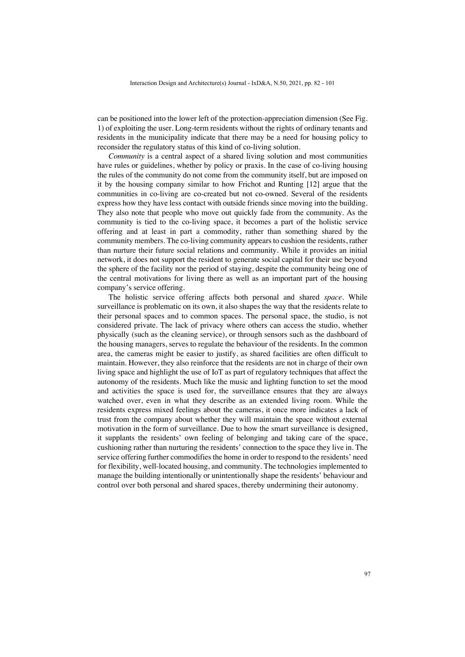can be positioned into the lower left of the protection-appreciation dimension (See Fig. 1) of exploiting the user. Long-term residents without the rights of ordinary tenants and residents in the municipality indicate that there may be a need for housing policy to reconsider the regulatory status of this kind of co-living solution.

*Community* is a central aspect of a shared living solution and most communities have rules or guidelines, whether by policy or praxis. In the case of co-living housing the rules of the community do not come from the community itself, but are imposed on it by the housing company similar to how Frichot and Runting [12] argue that the communities in co-living are co-created but not co-owned. Several of the residents express how they have less contact with outside friends since moving into the building. They also note that people who move out quickly fade from the community. As the community is tied to the co-living space, it becomes a part of the holistic service offering and at least in part a commodity, rather than something shared by the community members. The co-living community appears to cushion the residents, rather than nurture their future social relations and community. While it provides an initial network, it does not support the resident to generate social capital for their use beyond the sphere of the facility nor the period of staying, despite the community being one of the central motivations for living there as well as an important part of the housing company's service offering.

The holistic service offering affects both personal and shared *space*. While surveillance is problematic on its own, it also shapes the way that the residents relate to their personal spaces and to common spaces. The personal space, the studio, is not considered private. The lack of privacy where others can access the studio, whether physically (such as the cleaning service), or through sensors such as the dashboard of the housing managers, serves to regulate the behaviour of the residents. In the common area, the cameras might be easier to justify, as shared facilities are often difficult to maintain. However, they also reinforce that the residents are not in charge of their own living space and highlight the use of IoT as part of regulatory techniques that affect the autonomy of the residents. Much like the music and lighting function to set the mood and activities the space is used for, the surveillance ensures that they are always watched over, even in what they describe as an extended living room. While the residents express mixed feelings about the cameras, it once more indicates a lack of trust from the company about whether they will maintain the space without external motivation in the form of surveillance. Due to how the smart surveillance is designed, it supplants the residents' own feeling of belonging and taking care of the space, cushioning rather than nurturing the residents' connection to the space they live in. The service offering further commodifies the home in order to respond to the residents' need for flexibility, well-located housing, and community. The technologies implemented to manage the building intentionally or unintentionally shape the residents' behaviour and control over both personal and shared spaces, thereby undermining their autonomy.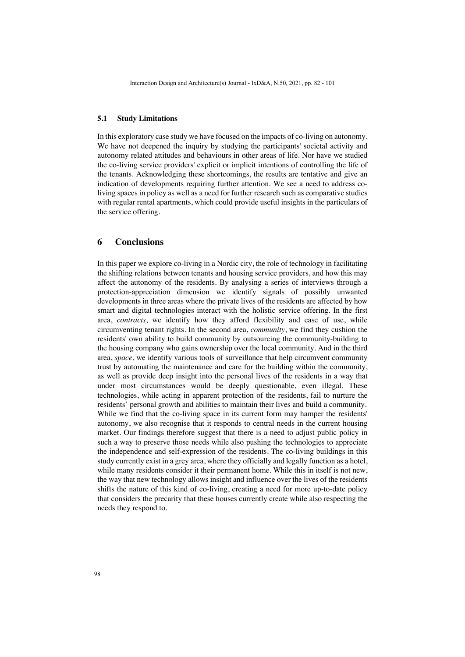#### **5.1 Study Limitations**

In this exploratory case study we have focused on the impacts of co-living on autonomy. We have not deepened the inquiry by studying the participants' societal activity and autonomy related attitudes and behaviours in other areas of life. Nor have we studied the co-living service providers' explicit or implicit intentions of controlling the life of the tenants. Acknowledging these shortcomings, the results are tentative and give an indication of developments requiring further attention. We see a need to address coliving spaces in policy as well as a need for further research such as comparative studies with regular rental apartments, which could provide useful insights in the particulars of the service offering.

### **6 Conclusions**

In this paper we explore co-living in a Nordic city, the role of technology in facilitating the shifting relations between tenants and housing service providers, and how this may affect the autonomy of the residents. By analysing a series of interviews through a protection-appreciation dimension we identify signals of possibly unwanted developments in three areas where the private lives of the residents are affected by how smart and digital technologies interact with the holistic service offering. In the first area, *contracts*, we identify how they afford flexibility and ease of use, while circumventing tenant rights. In the second area, *community*, we find they cushion the residents' own ability to build community by outsourcing the community-building to the housing company who gains ownership over the local community. And in the third area, *space*, we identify various tools of surveillance that help circumvent community trust by automating the maintenance and care for the building within the community, as well as provide deep insight into the personal lives of the residents in a way that under most circumstances would be deeply questionable, even illegal. These technologies, while acting in apparent protection of the residents, fail to nurture the residents' personal growth and abilities to maintain their lives and build a community. While we find that the co-living space in its current form may hamper the residents' autonomy, we also recognise that it responds to central needs in the current housing market. Our findings therefore suggest that there is a need to adjust public policy in such a way to preserve those needs while also pushing the technologies to appreciate the independence and self-expression of the residents. The co-living buildings in this study currently exist in a grey area, where they officially and legally function as a hotel, while many residents consider it their permanent home. While this in itself is not new, the way that new technology allows insight and influence over the lives of the residents shifts the nature of this kind of co-living, creating a need for more up-to-date policy that considers the precarity that these houses currently create while also respecting the needs they respond to.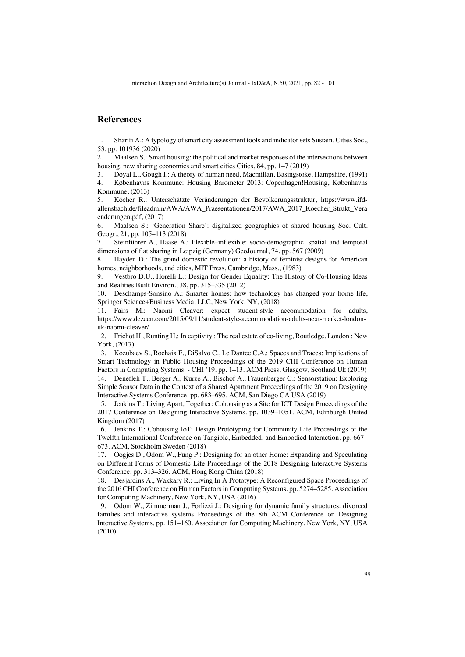# **References**

1. Sharifi A.: A typology of smart city assessment tools and indicator sets Sustain. Cities Soc., 53, pp. 101936 (2020)

2. Maalsen S.: Smart housing: the political and market responses of the intersections between housing, new sharing economies and smart cities Cities, 84, pp. 1–7 (2019)

3. Doyal L., Gough I.: A theory of human need, Macmillan, Basingstoke, Hampshire, (1991) 4. Københavns Kommune: Housing Barometer 2013: Copenhagen!Housing, Københavns Kommune, (2013)

5. Köcher R.: Unterschätzte Veränderungen der Bevölkerungsstruktur, https://www.ifdallensbach.de/fileadmin/AWA/AWA\_Praesentationen/2017/AWA\_2017\_Koecher\_Strukt\_Vera enderungen.pdf, (2017)

6. Maalsen S.: 'Generation Share': digitalized geographies of shared housing Soc. Cult. Geogr., 21, pp. 105–113 (2018)

7. Steinführer A., Haase A.: Flexible–inflexible: socio-demographic, spatial and temporal dimensions of flat sharing in Leipzig (Germany) GeoJournal, 74, pp. 567 (2009)

8. Hayden D.: The grand domestic revolution: a history of feminist designs for American homes, neighborhoods, and cities, MIT Press, Cambridge, Mass., (1983)

9. Vestbro D.U., Horelli L.: Design for Gender Equality: The History of Co-Housing Ideas and Realities Built Environ., 38, pp. 315–335 (2012)

10. Deschamps-Sonsino A.: Smarter homes: how technology has changed your home life, Springer Science+Business Media, LLC, New York, NY, (2018)

11. Fairs M.: Naomi Cleaver: expect student-style accommodation for adults, https://www.dezeen.com/2015/09/11/student-style-accommodation-adults-next-market-londonuk-naomi-cleaver/

12. Frichot H., Runting H.: In captivity : The real estate of co-living, Routledge, London ; New York, (2017)

13. Kozubaev S., Rochaix F., DiSalvo C., Le Dantec C.A.: Spaces and Traces: Implications of Smart Technology in Public Housing Proceedings of the 2019 CHI Conference on Human Factors in Computing Systems - CHI '19. pp. 1–13. ACM Press, Glasgow, Scotland Uk (2019) 14. Denefleh T., Berger A., Kurze A., Bischof A., Frauenberger C.: Sensorstation: Exploring Simple Sensor Data in the Context of a Shared Apartment Proceedings of the 2019 on Designing Interactive Systems Conference. pp. 683–695. ACM, San Diego CA USA (2019)

15. Jenkins T.: Living Apart, Together: Cohousing as a Site for ICT Design Proceedings of the 2017 Conference on Designing Interactive Systems. pp. 1039–1051. ACM, Edinburgh United Kingdom (2017)

16. Jenkins T.: Cohousing IoT: Design Prototyping for Community Life Proceedings of the Twelfth International Conference on Tangible, Embedded, and Embodied Interaction. pp. 667– 673. ACM, Stockholm Sweden (2018)

17. Oogjes D., Odom W., Fung P.: Designing for an other Home: Expanding and Speculating on Different Forms of Domestic Life Proceedings of the 2018 Designing Interactive Systems Conference. pp. 313–326. ACM, Hong Kong China (2018)

18. Desjardins A., Wakkary R.: Living In A Prototype: A Reconfigured Space Proceedings of the 2016 CHI Conference on Human Factors in Computing Systems. pp. 5274–5285. Association for Computing Machinery, New York, NY, USA (2016)

19. Odom W., Zimmerman J., Forlizzi J.: Designing for dynamic family structures: divorced families and interactive systems Proceedings of the 8th ACM Conference on Designing Interactive Systems. pp. 151–160. Association for Computing Machinery, New York, NY, USA (2010)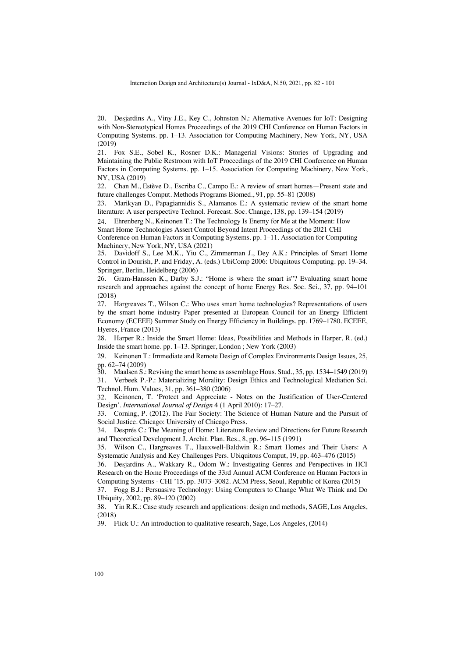20. Desjardins A., Viny J.E., Key C., Johnston N.: Alternative Avenues for IoT: Designing with Non-Stereotypical Homes Proceedings of the 2019 CHI Conference on Human Factors in Computing Systems. pp. 1–13. Association for Computing Machinery, New York, NY, USA (2019)

21. Fox S.E., Sobel K., Rosner D.K.: Managerial Visions: Stories of Upgrading and Maintaining the Public Restroom with IoT Proceedings of the 2019 CHI Conference on Human Factors in Computing Systems. pp. 1–15. Association for Computing Machinery, New York, NY, USA (2019)

22. Chan M., Estève D., Escriba C., Campo E.: A review of smart homes—Present state and future challenges Comput. Methods Programs Biomed., 91, pp. 55–81 (2008)

23. Marikyan D., Papagiannidis S., Alamanos E.: A systematic review of the smart home literature: A user perspective Technol. Forecast. Soc. Change, 138, pp. 139–154 (2019)

24. Ehrenberg N., Keinonen T.: The Technology Is Enemy for Me at the Moment: How Smart Home Technologies Assert Control Beyond Intent Proceedings of the 2021 CHI Conference on Human Factors in Computing Systems. pp. 1–11. Association for Computing Machinery, New York, NY, USA (2021)

25. Davidoff S., Lee M.K., Yiu C., Zimmerman J., Dey A.K.: Principles of Smart Home Control in Dourish, P. and Friday, A. (eds.) UbiComp 2006: Ubiquitous Computing. pp. 19–34. Springer, Berlin, Heidelberg (2006)

26. Gram-Hanssen K., Darby S.J.: "Home is where the smart is"? Evaluating smart home research and approaches against the concept of home Energy Res. Soc. Sci., 37, pp. 94–101 (2018)

27. Hargreaves T., Wilson C.: Who uses smart home technologies? Representations of users by the smart home industry Paper presented at European Council for an Energy Efficient Economy (ECEEE) Summer Study on Energy Efficiency in Buildings. pp. 1769–1780. ECEEE, Hyeres, France (2013)

28. Harper R.: Inside the Smart Home: Ideas, Possibilities and Methods in Harper, R. (ed.) Inside the smart home. pp. 1–13. Springer, London ; New York (2003)

29. Keinonen T.: Immediate and Remote Design of Complex Environments Design Issues, 25, pp. 62–74 (2009)

30. Maalsen S.: Revising the smart home as assemblage Hous. Stud., 35, pp. 1534–1549 (2019)

31. Verbeek P.-P.: Materializing Morality: Design Ethics and Technological Mediation Sci. Technol. Hum. Values, 31, pp. 361–380 (2006)

32. Keinonen, T. 'Protect and Appreciate - Notes on the Justification of User-Centered Design'. *International Journal of Design* 4 (1 April 2010): 17–27.

33. Corning, P. (2012). The Fair Society: The Science of Human Nature and the Pursuit of Social Justice. Chicago: University of Chicago Press.

34. Després C.: The Meaning of Home: Literature Review and Directions for Future Research and Theoretical Development J. Archit. Plan. Res., 8, pp. 96–115 (1991)

35. Wilson C., Hargreaves T., Hauxwell-Baldwin R.: Smart Homes and Their Users: A Systematic Analysis and Key Challenges Pers. Ubiquitous Comput, 19, pp. 463–476 (2015)

36. Desjardins A., Wakkary R., Odom W.: Investigating Genres and Perspectives in HCI Research on the Home Proceedings of the 33rd Annual ACM Conference on Human Factors in Computing Systems - CHI '15. pp. 3073–3082. ACM Press, Seoul, Republic of Korea (2015)

37. Fogg B.J.: Persuasive Technology: Using Computers to Change What We Think and Do Ubiquity, 2002, pp. 89–120 (2002)

38. Yin R.K.: Case study research and applications: design and methods, SAGE, Los Angeles, (2018)

39. Flick U.: An introduction to qualitative research, Sage, Los Angeles, (2014)